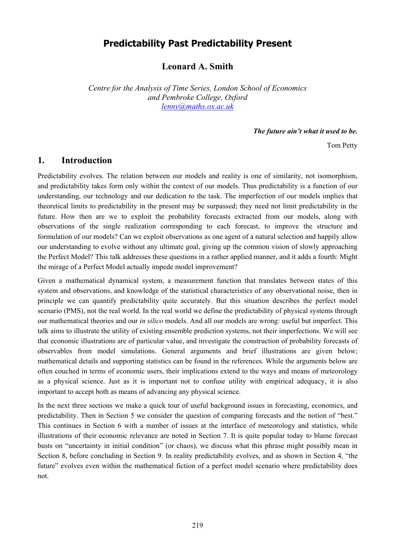# **Predictability Past Predictability Present**

**Leonard A. Smith** 

*Centre for the Analysis of Time Series, London School of Economics and Pembroke College, Oxford [lenny@maths.ox.ac.uk](mailto:lenny@maths.ox.ac.uk)*

*The future ain't what it used to be.* 

Tom Petty

#### **1. Introduction**

Predictability evolves. The relation between our models and reality is one of similarity, not isomorphism, and predictability takes form only within the context of our models. Thus predictability is a function of our understanding, our technology and our dedication to the task. The imperfection of our models implies that theoretical limits to predictability in the present may be surpassed; they need not limit predictability in the future. How then are we to exploit the probability forecasts extracted from our models, along with observations of the single realization corresponding to each forecast, to improve the structure and formulation of our models? Can we exploit observations as one agent of a natural selection and happily allow our understanding to evolve without any ultimate goal, giving up the common vision of slowly approaching the Perfect Model? This talk addresses these questions in a rather applied manner, and it adds a fourth: Might the mirage of a Perfect Model actually impede model improvement?

Given a mathematical dynamical system, a measurement function that translates between states of this system and observations, and knowledge of the statistical characteristics of any observational noise, then in principle we can quantify predictability quite accurately. But this situation describes the perfect model scenario (PMS), not the real world. In the real world we define the predictability of physical systems through our mathematical theories and our *in silico* models. And all our models are wrong: useful but imperfect. This talk aims to illustrate the utility of existing ensemble prediction systems, not their imperfections. We will see that economic illustrations are of particular value, and investigate the construction of probability forecasts of observables from model simulations. General arguments and brief illustrations are given below; mathematical details and supporting statistics can be found in the references. While the arguments below are often couched in terms of economic users, their implications extend to the ways and means of meteorology as a physical science. Just as it is important not to confuse utility with empirical adequacy, it is also important to accept both as means of advancing any physical science.

In the next three sections we make a quick tour of useful background issues in forecasting, economics, and predictability. Then in Section 5 we consider the question of comparing forecasts and the notion of "best." This continues in Section 6 with a number of issues at the interface of meteorology and statistics, while illustrations of their economic relevance are noted in Section 7. It is quite popular today to blame forecast busts on "uncertainty in initial condition" (or chaos), we discuss what this phrase might possibly mean in Section 8, before concluding in Section 9. In reality predictability evolves, and as shown in Section 4, "the future" evolves even within the mathematical fiction of a perfect model scenario where predictability does not.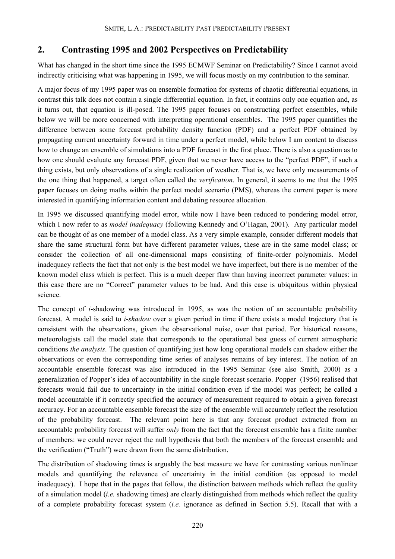# **2. Contrasting 1995 and 2002 Perspectives on Predictability**

What has changed in the short time since the 1995 ECMWF Seminar on Predictability? Since I cannot avoid indirectly criticising what was happening in 1995, we will focus mostly on my contribution to the seminar.

A major focus of my 1995 paper was on ensemble formation for systems of chaotic differential equations, in contrast this talk does not contain a single differential equation. In fact, it contains only one equation and, as it turns out, that equation is ill-posed. The 1995 paper focuses on constructing perfect ensembles, while below we will be more concerned with interpreting operational ensembles. The 1995 paper quantifies the difference between some forecast probability density function (PDF) and a perfect PDF obtained by propagating current uncertainty forward in time under a perfect model, while below I am content to discuss how to change an ensemble of simulations into a PDF forecast in the first place. There is also a question as to how one should evaluate any forecast PDF, given that we never have access to the "perfect PDF", if such a thing exists, but only observations of a single realization of weather. That is, we have only measurements of the one thing that happened, a target often called the *verification*. In general, it seems to me that the 1995 paper focuses on doing maths within the perfect model scenario (PMS), whereas the current paper is more interested in quantifying information content and debating resource allocation.

In 1995 we discussed quantifying model error, while now I have been reduced to pondering model error, which I now refer to as *model inadequacy* (following Kennedy and O'Hagan, 2001). Any particular model can be thought of as one member of a model class. As a very simple example, consider different models that share the same structural form but have different parameter values, these are in the same model class; or consider the collection of all one-dimensional maps consisting of finite-order polynomials. Model inadequacy reflects the fact that not only is the best model we have imperfect, but there is no member of the known model class which is perfect. This is a much deeper flaw than having incorrect parameter values: in this case there are no "Correct" parameter values to be had. And this case is ubiquitous within physical science.

The concept of *i*-shadowing was introduced in 1995, as was the notion of an accountable probability forecast. A model is said to *i*-*shadow* over a given period in time if there exists a model trajectory that is consistent with the observations, given the observational noise, over that period. For historical reasons, meteorologists call the model state that corresponds to the operational best guess of current atmospheric conditions *the analysis*. The question of quantifying just how long operational models can shadow either the observations or even the corresponding time series of analyses remains of key interest. The notion of an accountable ensemble forecast was also introduced in the 1995 Seminar (see also Smith, 2000) as a generalization of Popper's idea of accountability in the single forecast scenario. Popper (1956) realised that forecasts would fail due to uncertainty in the initial condition even if the model was perfect; he called a model accountable if it correctly specified the accuracy of measurement required to obtain a given forecast accuracy. For an accountable ensemble forecast the size of the ensemble will accurately reflect the resolution of the probability forecast. The relevant point here is that any forecast product extracted from an accountable probability forecast will suffer *only* from the fact that the forecast ensemble has a finite number of members: we could never reject the null hypothesis that both the members of the forecast ensemble and the verification ("Truth") were drawn from the same distribution.

The distribution of shadowing times is arguably the best measure we have for contrasting various nonlinear models and quantifying the relevance of uncertainty in the initial condition (as opposed to model inadequacy). I hope that in the pages that follow, the distinction between methods which reflect the quality of a simulation model (*i.e.* shadowing times) are clearly distinguished from methods which reflect the quality of a complete probability forecast system (*i.e.* ignorance as defined in Section 5.5). Recall that with a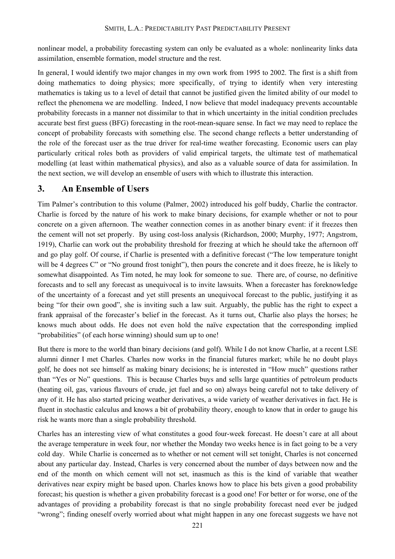nonlinear model, a probability forecasting system can only be evaluated as a whole: nonlinearity links data assimilation, ensemble formation, model structure and the rest.

In general, I would identify two major changes in my own work from 1995 to 2002. The first is a shift from doing mathematics to doing physics; more specifically, of trying to identify when very interesting mathematics is taking us to a level of detail that cannot be justified given the limited ability of our model to reflect the phenomena we are modelling. Indeed, I now believe that model inadequacy prevents accountable probability forecasts in a manner not dissimilar to that in which uncertainty in the initial condition precludes accurate best first guess (BFG) forecasting in the root-mean-square sense. In fact we may need to replace the concept of probability forecasts with something else. The second change reflects a better understanding of the role of the forecast user as the true driver for real-time weather forecasting. Economic users can play particularly critical roles both as providers of valid empirical targets, the ultimate test of mathematical modelling (at least within mathematical physics), and also as a valuable source of data for assimilation. In the next section, we will develop an ensemble of users with which to illustrate this interaction.

## **3. An Ensemble of Users**

Tim Palmer's contribution to this volume (Palmer, 2002) introduced his golf buddy, Charlie the contractor. Charlie is forced by the nature of his work to make binary decisions, for example whether or not to pour concrete on a given afternoon. The weather connection comes in as another binary event: if it freezes then the cement will not set properly. By using cost-loss analysis (Richardson, 2000; Murphy, 1977; Angstrom, 1919), Charlie can work out the probability threshold for freezing at which he should take the afternoon off and go play golf. Of course, if Charlie is presented with a definitive forecast ("The low temperature tonight will be 4 degrees C" or "No ground frost tonight"), then pours the concrete and it does freeze, he is likely to somewhat disappointed. As Tim noted, he may look for someone to sue. There are, of course, no definitive forecasts and to sell any forecast as unequivocal is to invite lawsuits. When a forecaster has foreknowledge of the uncertainty of a forecast and yet still presents an unequivocal forecast to the public, justifying it as being "for their own good", she is inviting such a law suit. Arguably, the public has the right to expect a frank appraisal of the forecaster's belief in the forecast. As it turns out, Charlie also plays the horses; he knows much about odds. He does not even hold the naïve expectation that the corresponding implied "probabilities" (of each horse winning) should sum up to one!

But there is more to the world than binary decisions (and golf). While I do not know Charlie, at a recent LSE alumni dinner I met Charles. Charles now works in the financial futures market; while he no doubt plays golf, he does not see himself as making binary decisions; he is interested in "How much" questions rather than "Yes or No" questions. This is because Charles buys and sells large quantities of petroleum products (heating oil, gas, various flavours of crude, jet fuel and so on) always being careful not to take delivery of any of it. He has also started pricing weather derivatives, a wide variety of weather derivatives in fact. He is fluent in stochastic calculus and knows a bit of probability theory, enough to know that in order to gauge his risk he wants more than a single probability threshold.

Charles has an interesting view of what constitutes a good four-week forecast. He doesn't care at all about the average temperature in week four, nor whether the Monday two weeks hence is in fact going to be a very cold day. While Charlie is concerned as to whether or not cement will set tonight, Charles is not concerned about any particular day. Instead, Charles is very concerned about the number of days between now and the end of the month on which cement will not set, inasmuch as this is the kind of variable that weather derivatives near expiry might be based upon. Charles knows how to place his bets given a good probability forecast; his question is whether a given probability forecast is a good one! For better or for worse, one of the advantages of providing a probability forecast is that no single probability forecast need ever be judged "wrong"; finding oneself overly worried about what might happen in any one forecast suggests we have not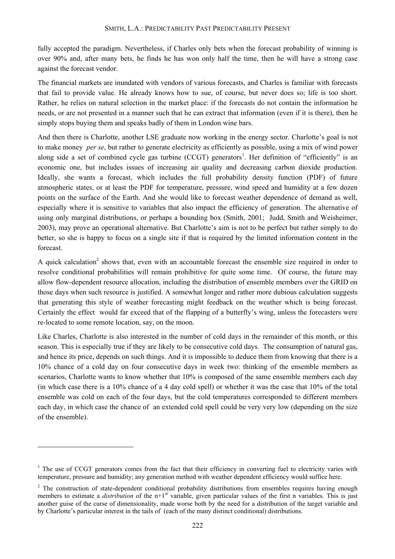fully accepted the paradigm. Nevertheless, if Charles only bets when the forecast probability of winning is over 90% and, after many bets, he finds he has won only half the time, then he will have a strong case against the forecast vendor.

The financial markets are inundated with vendors of various forecasts, and Charles is familiar with forecasts that fail to provide value. He already knows how to sue, of course, but never does so; life is too short. Rather, he relies on natural selection in the market place: if the forecasts do not contain the information he needs, or are not presented in a manner such that he can extract that information (even if it is there), then he simply stops buying them and speaks badly of them in London wine bars.

And then there is Charlotte, another LSE graduate now working in the energy sector. Charlotte's goal is not to make money *per se*, but rather to generate electricity as efficiently as possible, using a mix of wind power along side a set of combined cycle gas turbine (CCGT) generators<sup>1</sup>[.](#page-3-0) Her definition of "efficiently" is an economic one, but includes issues of increasing air quality and decreasing carbon dioxide production. Ideally, she wants a forecast, which includes the full probability density function (PDF) of future atmospheric states, or at least the PDF for temperature, pressure, wind speed and humidity at a few dozen points on the surface of the Earth. And she would like to forecast weather dependence of demand as well, especially where it is sensitive to variables that also impact the efficiency of generation. The alternative of using only marginal distributions, or perhaps a bounding box (Smith, 2001; Judd, Smith and Weisheimer, 2003), may prove an operational alternative. But Charlotte's aim is not to be perfect but rather simply to do better, so she is happy to focus on a single site if that is required by the limited information content in the forecast.

A quick calculation<sup>[2](#page-3-1)</sup> shows that, even with an accountable forecast the ensemble size required in order to resolve conditional probabilities will remain prohibitive for quite some time. Of course, the future may allow flow-dependent resource allocation, including the distribution of ensemble members over the GRID on those days when such resource is justified. A somewhat longer and rather more dubious calculation suggests that generating this style of weather forecasting might feedback on the weather which is being forecast. Certainly the effect would far exceed that of the flapping of a butterfly's wing, unless the forecasters were re-located to some remote location, say, on the moon.

Like Charles, Charlotte is also interested in the number of cold days in the remainder of this month, or this season. This is especially true if they are likely to be consecutive cold days. The consumption of natural gas, and hence its price, depends on such things. And it is impossible to deduce them from knowing that there is a 10% chance of a cold day on four consecutive days in week two: thinking of the ensemble members as scenarios, Charlotte wants to know whether that 10% is composed of the same ensemble members each day (in which case there is a 10% chance of a 4 day cold spell) or whether it was the case that 10% of the total ensemble was cold on each of the four days, but the cold temperatures corresponded to different members each day, in which case the chance of an extended cold spell could be very very low (depending on the size of the ensemble).

l

<span id="page-3-0"></span><sup>&</sup>lt;sup>1</sup> The use of CCGT generators comes from the fact that their efficiency in converting fuel to electricity varies with temperature, pressure and humidity; any generation method with weather dependent efficiency would suffice here.

<span id="page-3-1"></span><sup>&</sup>lt;sup>2</sup> The construction of state-dependent conditional probability distributions from ensembles requires having enough members to estimate a *distribution* of the  $n+1$ <sup>st</sup> variable, given particular values of the first n variables. This is just another guise of the curse of dimensionality, made worse both by the need for a distribution of the target variable and by Charlotte's particular interest in the tails of (each of the many distinct conditional) distributions.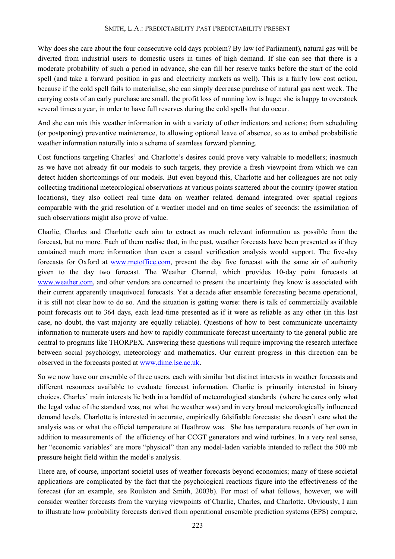Why does she care about the four consecutive cold days problem? By law (of Parliament), natural gas will be diverted from industrial users to domestic users in times of high demand. If she can see that there is a moderate probability of such a period in advance, she can fill her reserve tanks before the start of the cold spell (and take a forward position in gas and electricity markets as well). This is a fairly low cost action, because if the cold spell fails to materialise, she can simply decrease purchase of natural gas next week. The carrying costs of an early purchase are small, the profit loss of running low is huge: she is happy to overstock several times a year, in order to have full reserves during the cold spells that do occur.

And she can mix this weather information in with a variety of other indicators and actions; from scheduling (or postponing) preventive maintenance, to allowing optional leave of absence, so as to embed probabilistic weather information naturally into a scheme of seamless forward planning.

Cost functions targeting Charles' and Charlotte's desires could prove very valuable to modellers; inasmuch as we have not already fit our models to such targets, they provide a fresh viewpoint from which we can detect hidden shortcomings of our models. But even beyond this, Charlotte and her colleagues are not only collecting traditional meteorological observations at various points scattered about the country (power station locations), they also collect real time data on weather related demand integrated over spatial regions comparable with the grid resolution of a weather model and on time scales of seconds: the assimilation of such observations might also prove of value.

Charlie, Charles and Charlotte each aim to extract as much relevant information as possible from the forecast, but no more. Each of them realise that, in the past, weather forecasts have been presented as if they contained much more information than even a casual verification analysis would support. The five-day forecasts for Oxford at [www.metoffice.com,](http://www.metoffice.com/) present the day five forecast with the same air of authority given to the day two forecast. The Weather Channel, which provides 10-day point forecasts at [www.weather.com,](http://www.weather.com/) and other vendors are concerned to present the uncertainty they know is associated with their current apparently unequivocal forecasts. Yet a decade after ensemble forecasting became operational, it is still not clear how to do so. And the situation is getting worse: there is talk of commercially available point forecasts out to 364 days, each lead-time presented as if it were as reliable as any other (in this last case, no doubt, the vast majority are equally reliable). Questions of how to best communicate uncertainty information to numerate users and how to rapidly communicate forecast uncertainty to the general public are central to programs like THORPEX. Answering these questions will require improving the research interface between social psychology, meteorology and mathematics. Our current progress in this direction can be observed in the forecasts posted at [www.dime.lse.ac.uk](http://www.dime.lse.ac.uk/).

So we now have our ensemble of three users, each with similar but distinct interests in weather forecasts and different resources available to evaluate forecast information. Charlie is primarily interested in binary choices. Charles' main interests lie both in a handful of meteorological standards (where he cares only what the legal value of the standard was, not what the weather was) and in very broad meteorologically influenced demand levels. Charlotte is interested in accurate, empirically falsifiable forecasts; she doesn't care what the analysis was or what the official temperature at Heathrow was. She has temperature records of her own in addition to measurements of the efficiency of her CCGT generators and wind turbines. In a very real sense, her "economic variables" are more "physical" than any model-laden variable intended to reflect the 500 mb pressure height field within the model's analysis.

There are, of course, important societal uses of weather forecasts beyond economics; many of these societal applications are complicated by the fact that the psychological reactions figure into the effectiveness of the forecast (for an example, see Roulston and Smith, 2003b). For most of what follows, however, we will consider weather forecasts from the varying viewpoints of Charlie, Charles, and Charlotte. Obviously, I aim to illustrate how probability forecasts derived from operational ensemble prediction systems (EPS) compare,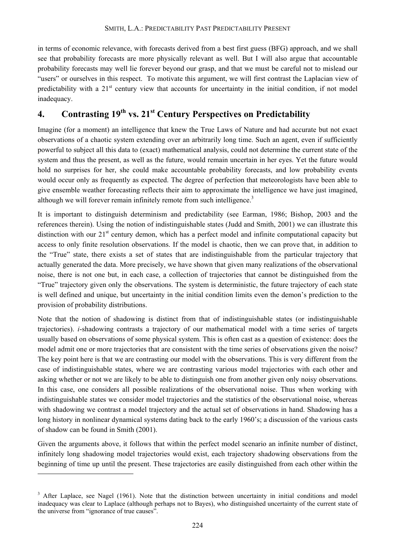in terms of economic relevance, with forecasts derived from a best first guess (BFG) approach, and we shall see that probability forecasts are more physically relevant as well. But I will also argue that accountable probability forecasts may well lie forever beyond our grasp, and that we must be careful not to mislead our "users" or ourselves in this respect. To motivate this argument, we will first contrast the Laplacian view of predictability with a 21<sup>st</sup> century view that accounts for uncertainty in the initial condition, if not model inadequacy.

# **4. Contrasting 19th vs. 21st Century Perspectives on Predictability**

Imagine (for a moment) an intelligence that knew the True Laws of Nature and had accurate but not exact observations of a chaotic system extending over an arbitrarily long time. Such an agent, even if sufficiently powerful to subject all this data to (exact) mathematical analysis, could not determine the current state of the system and thus the present, as well as the future, would remain uncertain in her eyes. Yet the future would hold no surprises for her, she could make accountable probability forecasts, and low probability events would occur only as frequently as expected. The degree of perfection that meteorologists have been able to give ensemble weather forecasting reflects their aim to approximate the intelligence we have just imagined, although we will forever remain infinitely remote from such intelligence.<sup>[3](#page-5-0)</sup>

It is important to distinguish determinism and predictability (see Earman, 1986; Bishop, 2003 and the references therein). Using the notion of indistinguishable states (Judd and Smith, 2001) we can illustrate this distinction with our  $21<sup>st</sup>$  century demon, which has a perfect model and infinite computational capacity but access to only finite resolution observations. If the model is chaotic, then we can prove that, in addition to the "True" state, there exists a set of states that are indistinguishable from the particular trajectory that actually generated the data. More precisely, we have shown that given many realizations of the observational noise, there is not one but, in each case, a collection of trajectories that cannot be distinguished from the "True" trajectory given only the observations. The system is deterministic, the future trajectory of each state is well defined and unique, but uncertainty in the initial condition limits even the demon's prediction to the provision of probability distributions.

Note that the notion of shadowing is distinct from that of indistinguishable states (or indistinguishable trajectories). *i*-shadowing contrasts a trajectory of our mathematical model with a time series of targets usually based on observations of some physical system. This is often cast as a question of existence: does the model admit one or more trajectories that are consistent with the time series of observations given the noise? The key point here is that we are contrasting our model with the observations. This is very different from the case of indistinguishable states, where we are contrasting various model trajectories with each other and asking whether or not we are likely to be able to distinguish one from another given only noisy observations. In this case, one considers all possible realizations of the observational noise. Thus when working with indistinguishable states we consider model trajectories and the statistics of the observational noise, whereas with shadowing we contrast a model trajectory and the actual set of observations in hand. Shadowing has a long history in nonlinear dynamical systems dating back to the early 1960's; a discussion of the various casts of shadow can be found in Smith (2001).

Given the arguments above, it follows that within the perfect model scenario an infinite number of distinct, infinitely long shadowing model trajectories would exist, each trajectory shadowing observations from the beginning of time up until the present. These trajectories are easily distinguished from each other within the

 $\overline{a}$ 

<span id="page-5-0"></span><sup>&</sup>lt;sup>3</sup> After Laplace, see Nagel (1961). Note that the distinction between uncertainty in initial conditions and model inadequacy was clear to Laplace (although perhaps not to Bayes), who distinguished uncertainty of the current state of the universe from "ignorance of true causes".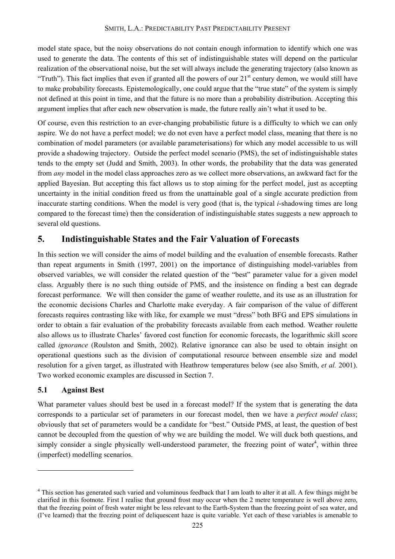<span id="page-6-0"></span>model state space, but the noisy observations do not contain enough information to identify which one was used to generate the data. The contents of this set of indistinguishable states will depend on the particular realization of the observational noise, but the set will always include the generating trajectory (also known as "Truth"). This fact implies that even if granted all the powers of our 21<sup>st</sup> century demon, we would still have to make probability forecasts. Epistemologically, one could argue that the "true state" of the system is simply not defined at this point in time, and that the future is no more than a probability distribution. Accepting this argument implies that after each new observation is made, the future really ain't what it used to be.

Of course, even this restriction to an ever-changing probabilistic future is a difficulty to which we can only aspire. We do not have a perfect model; we do not even have a perfect model class, meaning that there is no combination of model parameters (or available parameterisations) for which any model accessible to us will provide a shadowing trajectory. Outside the perfect model scenario (PMS), the set of indistinguishable states tends to the empty set (Judd and Smith, 2003). In other words, the probability that the data was generated from *any* model in the model class approaches zero as we collect more observations, an awkward fact for the applied Bayesian. But accepting this fact allows us to stop aiming for the perfect model, just as accepting uncertainty in the initial condition freed us from the unattainable goal of a single accurate prediction from inaccurate starting conditions. When the model is very good (that is, the typical *i*-shadowing times are long compared to the forecast time) then the consideration of indistinguishable states suggests a new approach to several old questions.

# **5. Indistinguishable States and the Fair Valuation of Forecasts**

In this section we will consider the aims of model building and the evaluation of ensemble forecasts. Rather than repeat arguments in Smith (1997, 2001) on the importance of distinguishing model-variables from observed variables, we will consider the related question of the "best" parameter value for a given model class. Arguably there is no such thing outside of PMS, and the insistence on finding a best can degrade forecast performance. We will then consider the game of weather roulette, and its use as an illustration for the economic decisions Charles and Charlotte make everyday. A fair comparison of the value of different forecasts requires contrasting like with like, for example we must "dress" both BFG and EPS simulations in order to obtain a fair evaluation of the probability forecasts available from each method. Weather roulette also allows us to illustrate Charles' favored cost function for economic forecasts, the logarithmic skill score called *ignorance* (Roulston and Smith, 2002). Relative ignorance can also be used to obtain insight on operational questions such as the division of computational resource between ensemble size and model resolution for a given target, as illustrated with Heathrow temperatures below (see also Smith, *et al.* 2001). Two worked economic examples are discussed in Section 7.

### **5.1 Against Best**

 $\overline{a}$ 

What parameter values should best be used in a forecast model? If the system that is generating the data corresponds to a particular set of parameters in our forecast model, then we have a *perfect model class*; obviously that set of parameters would be a candidate for "best." Outside PMS, at least, the question of best cannot be decoupled from the question of why we are building the model. We will duck both questions, and simply consider a single physically well-understood parameter, the freezing point of water<sup>[4](#page-6-0)</sup>, within three (imperfect) modelling scenarios.

<sup>&</sup>lt;sup>4</sup> This section has generated such varied and voluminous feedback that I am loath to alter it at all. A few things might be clarified in this footnote. First I realise that ground frost may occur when the 2 metre temperature is well above zero, that the freezing point of fresh water might be less relevant to the Earth-System than the freezing point of sea water, and (I've learned) that the freezing point of deliquescent haze is quite variable. Yet each of these variables is amenable to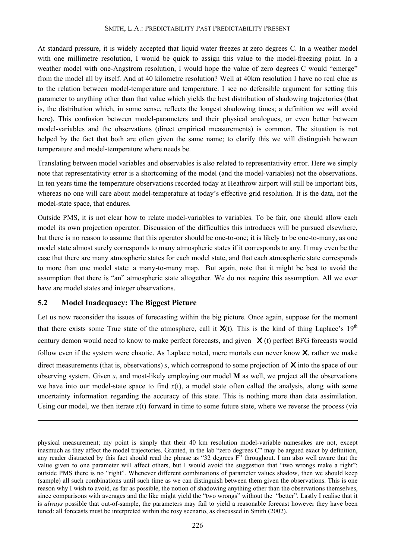At standard pressure, it is widely accepted that liquid water freezes at zero degrees C. In a weather model with one millimetre resolution, I would be quick to assign this value to the model-freezing point. In a weather model with one-Angstrom resolution, I would hope the value of zero degrees C would "emerge" from the model all by itself. And at 40 kilometre resolution? Well at 40km resolution I have no real clue as to the relation between model-temperature and temperature. I see no defensible argument for setting this parameter to anything other than that value which yields the best distribution of shadowing trajectories (that is, the distribution which, in some sense, reflects the longest shadowing times; a definition we will avoid here). This confusion between model-parameters and their physical analogues, or even better between model-variables and the observations (direct empirical measurements) is common. The situation is not helped by the fact that both are often given the same name; to clarify this we will distinguish between temperature and model-temperature where needs be.

Translating between model variables and observables is also related to representativity error. Here we simply note that representativity error is a shortcoming of the model (and the model-variables) not the observations. In ten years time the temperature observations recorded today at Heathrow airport will still be important bits, whereas no one will care about model-temperature at today's effective grid resolution. It is the data, not the model-state space, that endures.

Outside PMS, it is not clear how to relate model-variables to variables. To be fair, one should allow each model its own projection operator. Discussion of the difficulties this introduces will be pursued elsewhere, but there is no reason to assume that this operator should be one-to-one; it is likely to be one-to-many, as one model state almost surely corresponds to many atmospheric states if it corresponds to any. It may even be the case that there are many atmospheric states for each model state, and that each atmospheric state corresponds to more than one model state: a many-to-many map. But again, note that it might be best to avoid the assumption that there is "an" atmospheric state altogether. We do not require this assumption. All we ever have are model states and integer observations.

#### **5.2 Model Inadequacy: The Biggest Picture**

l

Let us now reconsider the issues of forecasting within the big picture. Once again, suppose for the moment that there exists some True state of the atmosphere, call it  $X(t)$ . This is the kind of thing Laplace's 19<sup>th</sup> century demon would need to know to make perfect forecasts, and given **X** (t) perfect BFG forecasts would follow even if the system were chaotic. As Laplace noted, mere mortals can never know **X**, rather we make direct measurements (that is, observations) *s*, which correspond to some projection of **X** into the space of our observing system. Given *s*, and most-likely employing our model **M** as well, we project all the observations we have into our model-state space to find *x*(t), a model state often called the analysis, along with some uncertainty information regarding the accuracy of this state. This is nothing more than data assimilation. Using our model, we then iterate *x*(t) forward in time to some future state, where we reverse the process (via

physical measurement; my point is simply that their 40 km resolution model-variable namesakes are not, except inasmuch as they affect the model trajectories. Granted, in the lab "zero degrees C" may be argued exact by definition, any reader distracted by this fact should read the phrase as "32 degrees F" throughout. I am also well aware that the value given to one parameter will affect others, but I would avoid the suggestion that "two wrongs make a right": outside PMS there is no "right". Whenever different combinations of parameter values shadow, then we should keep (sample) all such combinations until such time as we can distinguish between them given the observations. This is one reason why I wish to avoid, as far as possible, the notion of shadowing anything other than the observations themselves, since comparisons with averages and the like might yield the "two wrongs" without the "better". Lastly I realise that it is *always* possible that out-of-sample, the parameters may fail to yield a reasonable forecast however they have been tuned: all forecasts must be interpreted within the rosy scenario, as discussed in Smith (2002).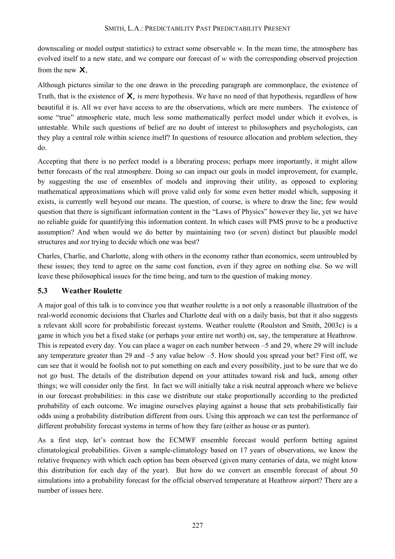downscaling or model output statistics) to extract some observable *w*. In the mean time, the atmosphere has evolved itself to a new state, and we compare our forecast of *w* with the corresponding observed projection from the new **X.**

Although pictures similar to the one drawn in the preceding paragraph are commonplace, the existence of Truth, that is the existence of **X,** is mere hypothesis. We have no need of that hypothesis, regardless of how beautiful it is. All we ever have access to are the observations, which are mere numbers. The existence of some "true" atmospheric state, much less some mathematically perfect model under which it evolves, is untestable. While such questions of belief are no doubt of interest to philosophers and psychologists, can they play a central role within science itself? In questions of resource allocation and problem selection, they do.

Accepting that there is no perfect model is a liberating process; perhaps more importantly, it might allow better forecasts of the real atmosphere. Doing so can impact our goals in model improvement, for example, by suggesting the use of ensembles of models and improving their utility, as opposed to exploring mathematical approximations which will prove valid only for some even better model which, supposing it exists, is currently well beyond our means. The question, of course, is where to draw the line; few would question that there is significant information content in the "Laws of Physics" however they lie, yet we have no reliable guide for quantifying this information content. In which cases will PMS prove to be a productive assumption? And when would we do better by maintaining two (or seven) distinct but plausible model structures and *not* trying to decide which one was best?

Charles, Charlie, and Charlotte, along with others in the economy rather than economics, seem untroubled by these issues; they tend to agree on the same cost function, even if they agree on nothing else. So we will leave these philosophical issues for the time being, and turn to the question of making money.

### **5.3 Weather Roulette**

A major goal of this talk is to convince you that weather roulette is a not only a reasonable illustration of the real-world economic decisions that Charles and Charlotte deal with on a daily basis, but that it also suggests a relevant skill score for probabilistic forecast systems. Weather roulette (Roulston and Smith, 2003c) is a game in which you bet a fixed stake (or perhaps your entire net worth) on, say, the temperature at Heathrow. This is repeated every day. You can place a wager on each number between –5 and 29, where 29 will include any temperature greater than 29 and –5 any value below –5. How should you spread your bet? First off, we can see that it would be foolish not to put something on each and every possibility, just to be sure that we do not go bust. The details of the distribution depend on your attitudes toward risk and luck, among other things; we will consider only the first. In fact we will initially take a risk neutral approach where we believe in our forecast probabilities: in this case we distribute our stake proportionally according to the predicted probability of each outcome. We imagine ourselves playing against a house that sets probabilistically fair odds using a probability distribution different from ours. Using this approach we can test the performance of different probability forecast systems in terms of how they fare (either as house or as punter).

As a first step, let's contrast how the ECMWF ensemble forecast would perform betting against climatological probabilities. Given a sample-climatology based on 17 years of observations, we know the relative frequency with which each option has been observed (given many centuries of data, we might know this distribution for each day of the year). But how do we convert an ensemble forecast of about 50 simulations into a probability forecast for the official observed temperature at Heathrow airport? There are a number of issues here.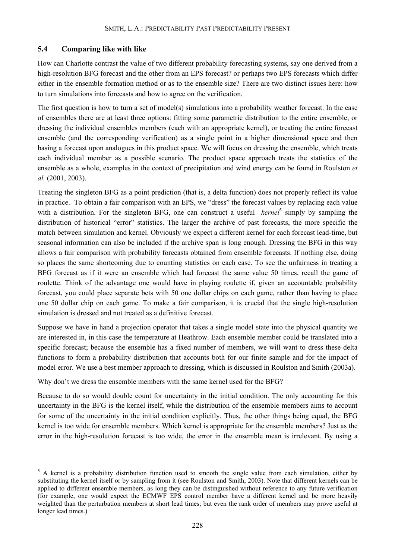#### **5.4 Comparing like with like**

l

How can Charlotte contrast the value of two different probability forecasting systems, say one derived from a high-resolution BFG forecast and the other from an EPS forecast? or perhaps two EPS forecasts which differ either in the ensemble formation method or as to the ensemble size? There are two distinct issues here: how to turn simulations into forecasts and how to agree on the verification.

The first question is how to turn a set of model(s) simulations into a probability weather forecast. In the case of ensembles there are at least three options: fitting some parametric distribution to the entire ensemble, or dressing the individual ensembles members (each with an appropriate kernel), or treating the entire forecast ensemble (and the corresponding verification) as a single point in a higher dimensional space and then basing a forecast upon analogues in this product space. We will focus on dressing the ensemble, which treats each individual member as a possible scenario. The product space approach treats the statistics of the ensemble as a whole, examples in the context of precipitation and wind energy can be found in Roulston *et al.* (2001, 2003).

Treating the singleton BFG as a point prediction (that is, a delta function) does not properly reflect its value in practice. To obtain a fair comparison with an EPS, we "dress" the forecast values by replacing each value witha distribution. For the singleton BFG, one can construct a useful *kernel*<sup>5</sup> simply by sampling the distribution of historical "error" statistics. The larger the archive of past forecasts, the more specific the match between simulation and kernel. Obviously we expect a different kernel for each forecast lead-time, but seasonal information can also be included if the archive span is long enough. Dressing the BFG in this way allows a fair comparison with probability forecasts obtained from ensemble forecasts. If nothing else, doing so places the same shortcoming due to counting statistics on each case. To see the unfairness in treating a BFG forecast as if it were an ensemble which had forecast the same value 50 times, recall the game of roulette. Think of the advantage one would have in playing roulette if, given an accountable probability forecast, you could place separate bets with 50 one dollar chips on each game, rather than having to place one 50 dollar chip on each game. To make a fair comparison, it is crucial that the single high-resolution simulation is dressed and not treated as a definitive forecast.

Suppose we have in hand a projection operator that takes a single model state into the physical quantity we are interested in, in this case the temperature at Heathrow. Each ensemble member could be translated into a specific forecast; because the ensemble has a fixed number of members, we will want to dress these delta functions to form a probability distribution that accounts both for our finite sample and for the impact of model error. We use a best member approach to dressing, which is discussed in Roulston and Smith (2003a).

Why don't we dress the ensemble members with the same kernel used for the BFG?

Because to do so would double count for uncertainty in the initial condition. The only accounting for this uncertainty in the BFG is the kernel itself, while the distribution of the ensemble members aims to account for some of the uncertainty in the initial condition explicitly. Thus, the other things being equal, the BFG kernel is too wide for ensemble members. Which kernel is appropriate for the ensemble members? Just as the error in the high-resolution forecast is too wide, the error in the ensemble mean is irrelevant. By using a

<span id="page-9-0"></span><sup>&</sup>lt;sup>5</sup> A kernel is a probability distribution function used to smooth the single value from each simulation, either by substituting the kernel itself or by sampling from it (see Roulston and Smith, 2003). Note that different kernels can be applied to different ensemble members, as long they can be distinguished without reference to any future verification (for example, one would expect the ECMWF EPS control member have a different kernel and be more heavily weighted than the perturbation members at short lead times; but even the rank order of members may prove useful at longer lead times.)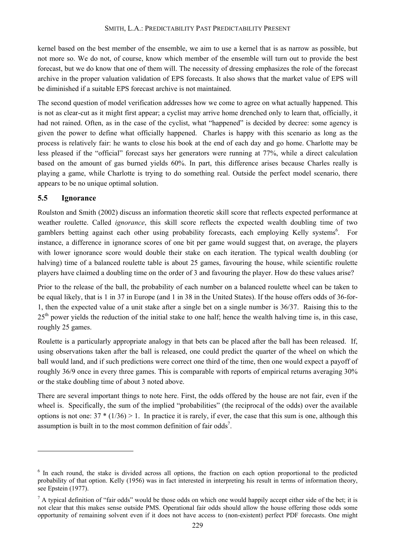<span id="page-10-1"></span>kernel based on the best member of the ensemble, we aim to use a kernel that is as narrow as possible, but not more so. We do not, of course, know which member of the ensemble will turn out to provide the best forecast, but we do know that one of them will. The necessity of dressing emphasizes the role of the forecast archive in the proper valuation validation of EPS forecasts. It also shows that the market value of EPS will be diminished if a suitable EPS forecast archive is not maintained.

The second question of model verification addresses how we come to agree on what actually happened. This is not as clear-cut as it might first appear; a cyclist may arrive home drenched only to learn that, officially, it had not rained. Often, as in the case of the cyclist, what "happened" is decided by decree: some agency is given the power to define what officially happened. Charles is happy with this scenario as long as the process is relatively fair: he wants to close his book at the end of each day and go home. Charlotte may be less pleased if the "official" forecast says her generators were running at 77%, while a direct calculation based on the amount of gas burned yields 60%. In part, this difference arises because Charles really is playing a game, while Charlotte is trying to do something real. Outside the perfect model scenario, there appears to be no unique optimal solution.

### **5.5 Ignorance**

l

Roulston and Smith (2002) discuss an information theoretic skill score that reflects expected performance at weather roulette. Called *ignorance*, this skill score reflects the expected wealth doubling time of two gamblers betting against each other using probability forecasts, each employing Kelly systems<sup>6</sup>[.](#page-10-0) For instance, a difference in ignorance scores of one bit per game would suggest that, on average, the players with lower ignorance score would double their stake on each iteration. The typical wealth doubling (or halving) time of a balanced roulette table is about 25 games, favouring the house, while scientific roulette players have claimed a doubling time on the order of 3 and favouring the player. How do these values arise?

Prior to the release of the ball, the probability of each number on a balanced roulette wheel can be taken to be equal likely, that is 1 in 37 in Europe (and 1 in 38 in the United States). If the house offers odds of 36-for-1, then the expected value of a unit stake after a single bet on a single number is 36/37. Raising this to the  $25<sup>th</sup>$  power yields the reduction of the initial stake to one half; hence the wealth halving time is, in this case, roughly 25 games.

Roulette is a particularly appropriate analogy in that bets can be placed after the ball has been released. If, using observations taken after the ball is released, one could predict the quarter of the wheel on which the ball would land, and if such predictions were correct one third of the time, then one would expect a payoff of roughly 36/9 once in every three games. This is comparable with reports of empirical returns averaging 30% or the stake doubling time of about 3 noted above.

There are several important things to note here. First, the odds offered by the house are not fair, even if the wheel is. Specifically, the sum of the implied "probabilities" (the reciprocal of the odds) over the available options is not one:  $37 * (1/36) > 1$ . In practice it is rarely, if ever, the case that this sum is one, although this assumption is built in to the most common definition of fair odds<sup>[7](#page-10-1)</sup>.

<span id="page-10-0"></span><sup>&</sup>lt;sup>6</sup> In each round, the stake is divided across all options, the fraction on each option proportional to the predicted probability of that option. Kelly (1956) was in fact interested in interpreting his result in terms of information theory, see Epstein (1977).

 $<sup>7</sup>$  A typical definition of "fair odds" would be those odds on which one would happily accept either side of the bet; it is</sup> not clear that this makes sense outside PMS. Operational fair odds should allow the house offering those odds some opportunity of remaining solvent even if it does not have access to (non-existent) perfect PDF forecasts. One might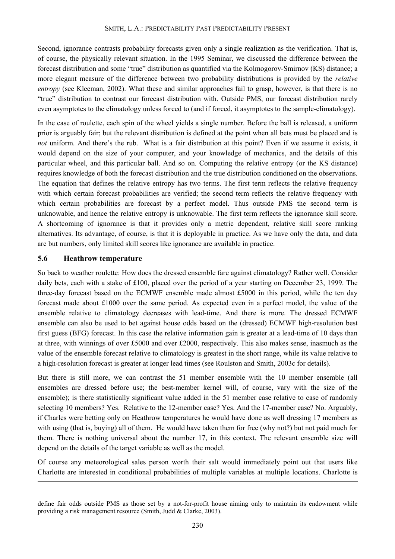Second, ignorance contrasts probability forecasts given only a single realization as the verification. That is, of course, the physically relevant situation. In the 1995 Seminar, we discussed the difference between the forecast distribution and some "true" distribution as quantified via the Kolmogorov-Smirnov (KS) distance; a more elegant measure of the difference between two probability distributions is provided by the *relative entropy* (see Kleeman, 2002). What these and similar approaches fail to grasp, however, is that there is no "true" distribution to contrast our forecast distribution with. Outside PMS, our forecast distribution rarely even asymptotes to the climatology unless forced to (and if forced, it asymptotes to the sample-climatology).

In the case of roulette, each spin of the wheel yields a single number. Before the ball is released, a uniform prior is arguably fair; but the relevant distribution is defined at the point when all bets must be placed and is *not* uniform. And there's the rub. What is a fair distribution at this point? Even if we assume it exists, it would depend on the size of your computer, and your knowledge of mechanics, and the details of this particular wheel, and this particular ball. And so on. Computing the relative entropy (or the KS distance) requires knowledge of both the forecast distribution and the true distribution conditioned on the observations. The equation that defines the relative entropy has two terms. The first term reflects the relative frequency with which certain forecast probabilities are verified; the second term reflects the relative frequency with which certain probabilities are forecast by a perfect model. Thus outside PMS the second term is unknowable, and hence the relative entropy is unknowable. The first term reflects the ignorance skill score. A shortcoming of ignorance is that it provides only a metric dependent, relative skill score ranking alternatives. Its advantage, of course, is that it is deployable in practice. As we have only the data, and data are but numbers, only limited skill scores like ignorance are available in practice.

#### **5.6 Heathrow temperature**

l

So back to weather roulette: How does the dressed ensemble fare against climatology? Rather well. Consider daily bets, each with a stake of £100, placed over the period of a year starting on December 23, 1999. The three-day forecast based on the ECMWF ensemble made almost £5000 in this period, while the ten day forecast made about £1000 over the same period. As expected even in a perfect model, the value of the ensemble relative to climatology decreases with lead-time. And there is more. The dressed ECMWF ensemble can also be used to bet against house odds based on the (dressed) ECMWF high-resolution best first guess (BFG) forecast. In this case the relative information gain is greater at a lead-time of 10 days than at three, with winnings of over £5000 and over £2000, respectively. This also makes sense, inasmuch as the value of the ensemble forecast relative to climatology is greatest in the short range, while its value relative to a high-resolution forecast is greater at longer lead times (see Roulston and Smith, 2003c for details).

But there is still more, we can contrast the 51 member ensemble with the 10 member ensemble (all ensembles are dressed before use; the best-member kernel will, of course, vary with the size of the ensemble); is there statistically significant value added in the 51 member case relative to case of randomly selecting 10 members? Yes. Relative to the 12-member case? Yes. And the 17-member case? No. Arguably, if Charles were betting only on Heathrow temperatures he would have done as well dressing 17 members as with using (that is, buying) all of them. He would have taken them for free (why not?) but not paid much for them. There is nothing universal about the number 17, in this context. The relevant ensemble size will depend on the details of the target variable as well as the model.

Of course any meteorological sales person worth their salt would immediately point out that users like Charlotte are interested in conditional probabilities of multiple variables at multiple locations. Charlotte is

define fair odds outside PMS as those set by a not-for-profit house aiming only to maintain its endowment while providing a risk management resource (Smith, Judd & Clarke, 2003).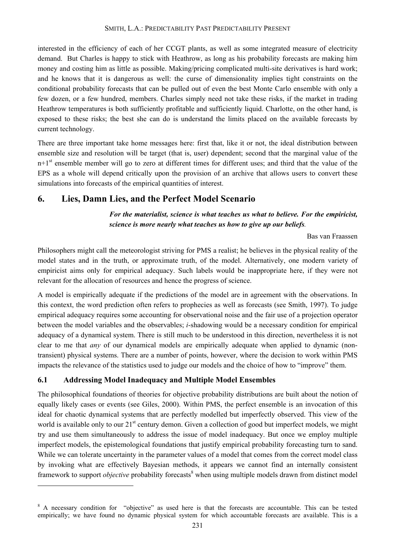<span id="page-12-0"></span>interested in the efficiency of each of her CCGT plants, as well as some integrated measure of electricity demand. But Charles is happy to stick with Heathrow, as long as his probability forecasts are making him money and costing him as little as possible. Making/pricing complicated multi-site derivatives is hard work; and he knows that it is dangerous as well: the curse of dimensionality implies tight constraints on the conditional probability forecasts that can be pulled out of even the best Monte Carlo ensemble with only a few dozen, or a few hundred, members. Charles simply need not take these risks, if the market in trading Heathrow temperatures is both sufficiently profitable and sufficiently liquid. Charlotte, on the other hand, is exposed to these risks; the best she can do is understand the limits placed on the available forecasts by current technology.

There are three important take home messages here: first that, like it or not, the ideal distribution between ensemble size and resolution will be target (that is, user) dependent; second that the marginal value of the  $n+1$ <sup>st</sup> ensemble member will go to zero at different times for different uses; and third that the value of the EPS as a whole will depend critically upon the provision of an archive that allows users to convert these simulations into forecasts of the empirical quantities of interest.

# **6. Lies, Damn Lies, and the Perfect Model Scenario**

*For the materialist, science is what teaches us what to believe. For the empiricist, science is more nearly what teaches us how to give up our beliefs.* 

Bas van Fraassen

Philosophers might call the meteorologist striving for PMS a realist; he believes in the physical reality of the model states and in the truth, or approximate truth, of the model. Alternatively, one modern variety of empiricist aims only for empirical adequacy. Such labels would be inappropriate here, if they were not relevant for the allocation of resources and hence the progress of science.

A model is empirically adequate if the predictions of the model are in agreement with the observations. In this context, the word prediction often refers to prophecies as well as forecasts (see Smith, 1997). To judge empirical adequacy requires some accounting for observational noise and the fair use of a projection operator between the model variables and the observables; *i*-shadowing would be a necessary condition for empirical adequacy of a dynamical system. There is still much to be understood in this direction, nevertheless it is not clear to me that *any* of our dynamical models are empirically adequate when applied to dynamic (nontransient) physical systems. There are a number of points, however, where the decision to work within PMS impacts the relevance of the statistics used to judge our models and the choice of how to "improve" them.

### **6.1 Addressing Model Inadequacy and Multiple Model Ensembles**

l

The philosophical foundations of theories for objective probability distributions are built about the notion of equally likely cases or events (see Giles, 2000). Within PMS, the perfect ensemble is an invocation of this ideal for chaotic dynamical systems that are perfectly modelled but imperfectly observed. This view of the world is available only to our 21<sup>st</sup> century demon. Given a collection of good but imperfect models, we might try and use them simultaneously to address the issue of model inadequacy. But once we employ multiple imperfect models, the epistemological foundations that justify empirical probability forecasting turn to sand. While we can tolerate uncertainty in the parameter values of a model that comes from the correct model class by invoking what are effectively Bayesian methods, it appears we cannot find an internally consistent frameworkto support *objective* probability forecasts<sup>8</sup> when using multiple models drawn from distinct model

<sup>&</sup>lt;sup>8</sup> A necessary condition for "objective" as used here is that the forecasts are accountable. This can be tested empirically; we have found no dynamic physical system for which accountable forecasts are available. This is a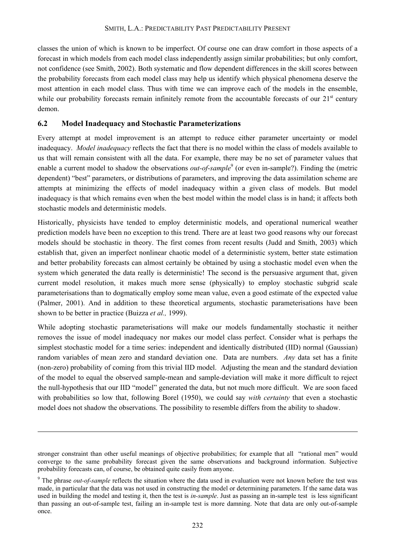classes the union of which is known to be imperfect. Of course one can draw comfort in those aspects of a forecast in which models from each model class independently assign similar probabilities; but only comfort, not confidence (see Smith, 2002). Both systematic and flow dependent differences in the skill scores between the probability forecasts from each model class may help us identify which physical phenomena deserve the most attention in each model class. Thus with time we can improve each of the models in the ensemble, while our probability forecasts remain infinitely remote from the accountable forecasts of our 21<sup>st</sup> century demon.

### **6.2 Model Inadequacy and Stochastic Parameterizations**

l

Every attempt at model improvement is an attempt to reduce either parameter uncertainty or model inadequacy. *Model inadequacy* reflects the fact that there is no model within the class of models available to us that will remain consistent with all the data. For example, there may be no set of parameter values that enablea current model to shadow the observations *out-of-sample*<sup>9</sup> (or even in-sample?). Finding the (metric dependent) "best" parameters, or distributions of parameters, and improving the data assimilation scheme are attempts at minimizing the effects of model inadequacy within a given class of models. But model inadequacy is that which remains even when the best model within the model class is in hand; it affects both stochastic models and deterministic models.

Historically, physicists have tended to employ deterministic models, and operational numerical weather prediction models have been no exception to this trend. There are at least two good reasons why our forecast models should be stochastic in theory. The first comes from recent results (Judd and Smith, 2003) which establish that, given an imperfect nonlinear chaotic model of a deterministic system, better state estimation and better probability forecasts can almost certainly be obtained by using a stochastic model even when the system which generated the data really is deterministic! The second is the persuasive argument that, given current model resolution, it makes much more sense (physically) to employ stochastic subgrid scale parameterisations than to dogmatically employ some mean value, even a good estimate of the expected value (Palmer, 2001). And in addition to these theoretical arguments, stochastic parameterisations have been shown to be better in practice (Buizza *et al.,* 1999).

While adopting stochastic parameterisations will make our models fundamentally stochastic it neither removes the issue of model inadequacy nor makes our model class perfect. Consider what is perhaps the simplest stochastic model for a time series: independent and identically distributed (IID) normal (Gaussian) random variables of mean zero and standard deviation one. Data are numbers. *Any* data set has a finite (non-zero) probability of coming from this trivial IID model. Adjusting the mean and the standard deviation of the model to equal the observed sample-mean and sample-deviation will make it more difficult to reject the null-hypothesis that our IID "model" generated the data, but not much more difficult. We are soon faced with probabilities so low that, following Borel (1950), we could say *with certainty* that even a stochastic model does not shadow the observations. The possibility to resemble differs from the ability to shadow.

stronger constraint than other useful meanings of objective probabilities; for example that all "rational men" would converge to the same probability forecast given the same observations and background information. Subjective probability forecasts can, of course, be obtained quite easily from anyone.

<span id="page-13-0"></span><sup>&</sup>lt;sup>9</sup> The phrase *out-of-sample* reflects the situation where the data used in evaluation were not known before the test was made, in particular that the data was not used in constructing the model or determining parameters. If the same data was used in building the model and testing it, then the test is *in-sample*. Just as passing an in-sample test is less significant than passing an out-of-sample test, failing an in-sample test is more damning. Note that data are only out-of-sample once.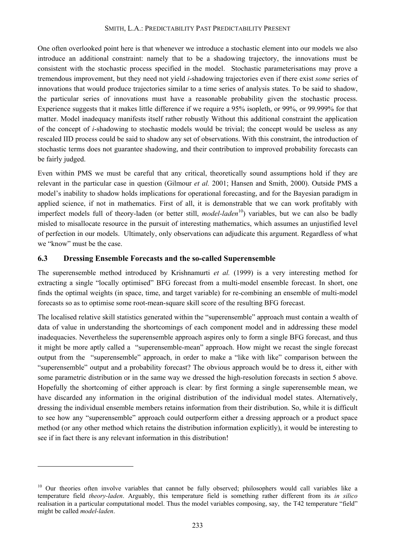One often overlooked point here is that whenever we introduce a stochastic element into our models we also introduce an additional constraint: namely that to be a shadowing trajectory, the innovations must be consistent with the stochastic process specified in the model. Stochastic parameterisations may prove a tremendous improvement, but they need not yield *i*-shadowing trajectories even if there exist *some* series of innovations that would produce trajectories similar to a time series of analysis states. To be said to shadow, the particular series of innovations must have a reasonable probability given the stochastic process. Experience suggests that it makes little difference if we require a 95% isopleth, or 99%, or 99.999% for that matter. Model inadequacy manifests itself rather robustly Without this additional constraint the application of the concept of *i*-shadowing to stochastic models would be trivial; the concept would be useless as any rescaled IID process could be said to shadow any set of observations. With this constraint, the introduction of stochastic terms does not guarantee shadowing, and their contribution to improved probability forecasts can be fairly judged.

Even within PMS we must be careful that any critical, theoretically sound assumptions hold if they are relevant in the particular case in question (Gilmour *et al.* 2001; Hansen and Smith, 2000). Outside PMS a model's inability to shadow holds implications for operational forecasting, and for the Bayesian paradigm in applied science, if not in mathematics. First of all, it is demonstrable that we can work profitably with imperfect models full of theory-laden (or better still, *model-laden* [10\)](#page-14-0) variables, but we can also be badly misled to misallocate resource in the pursuit of interesting mathematics, which assumes an unjustified level of perfection in our models. Ultimately, only observations can adjudicate this argument. Regardless of what we "know" must be the case.

#### **6.3 Dressing Ensemble Forecasts and the so-called Superensemble**

 $\overline{a}$ 

The superensemble method introduced by Krishnamurti *et al.* (1999) is a very interesting method for extracting a single "locally optimised" BFG forecast from a multi-model ensemble forecast. In short, one finds the optimal weights (in space, time, and target variable) for re-combining an ensemble of multi-model forecasts so as to optimise some root-mean-square skill score of the resulting BFG forecast.

The localised relative skill statistics generated within the "superensemble" approach must contain a wealth of data of value in understanding the shortcomings of each component model and in addressing these model inadequacies. Nevertheless the superensemble approach aspires only to form a single BFG forecast, and thus it might be more aptly called a "superensemble-mean" approach. How might we recast the single forecast output from the "superensemble" approach, in order to make a "like with like" comparison between the "superensemble" output and a probability forecast? The obvious approach would be to dress it, either with some parametric distribution or in the same way we dressed the high-resolution forecasts in section 5 above. Hopefully the shortcoming of either approach is clear: by first forming a single superensemble mean, we have discarded any information in the original distribution of the individual model states. Alternatively, dressing the individual ensemble members retains information from their distribution. So, while it is difficult to see how any "superensemble" approach could outperform either a dressing approach or a product space method (or any other method which retains the distribution information explicitly), it would be interesting to see if in fact there is any relevant information in this distribution!

<span id="page-14-0"></span><sup>&</sup>lt;sup>10</sup> Our theories often involve variables that cannot be fully observed; philosophers would call variables like a temperature field *theory-laden*. Arguably, this temperature field is something rather different from its *in silico* realisation in a particular computational model. Thus the model variables composing, say, the T42 temperature "field" might be called *model-laden*.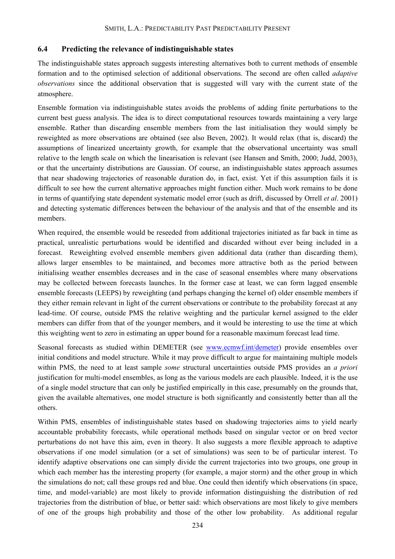#### **6.4 Predicting the relevance of indistinguishable states**

The indistinguishable states approach suggests interesting alternatives both to current methods of ensemble formation and to the optimised selection of additional observations. The second are often called *adaptive observations* since the additional observation that is suggested will vary with the current state of the atmosphere.

Ensemble formation via indistinguishable states avoids the problems of adding finite perturbations to the current best guess analysis. The idea is to direct computational resources towards maintaining a very large ensemble. Rather than discarding ensemble members from the last initialisation they would simply be reweighted as more observations are obtained (see also Beven, 2002). It would relax (that is, discard) the assumptions of linearized uncertainty growth, for example that the observational uncertainty was small relative to the length scale on which the linearisation is relevant (see Hansen and Smith, 2000; Judd, 2003), or that the uncertainty distributions are Gaussian. Of course, an indistinguishable states approach assumes that near shadowing trajectories of reasonable duration do, in fact, exist. Yet if this assumption fails it is difficult to see how the current alternative approaches might function either. Much work remains to be done in terms of quantifying state dependent systematic model error (such as drift, discussed by Orrell *et al*. 2001) and detecting systematic differences between the behaviour of the analysis and that of the ensemble and its members.

When required, the ensemble would be reseeded from additional trajectories initiated as far back in time as practical, unrealistic perturbations would be identified and discarded without ever being included in a forecast. Reweighting evolved ensemble members given additional data (rather than discarding them), allows larger ensembles to be maintained, and becomes more attractive both as the period between initialising weather ensembles decreases and in the case of seasonal ensembles where many observations may be collected between forecasts launches. In the former case at least, we can form lagged ensemble ensemble forecasts (LEEPS) by reweighting (and perhaps changing the kernel of) older ensemble members if they either remain relevant in light of the current observations or contribute to the probability forecast at any lead-time. Of course, outside PMS the relative weighting and the particular kernel assigned to the elder members can differ from that of the younger members, and it would be interesting to use the time at which this weighting went to zero in estimating an upper bound for a reasonable maximum forecast lead time.

Seasonal forecasts as studied within DEMETER (see [www.ecmwf.int/demeter](http://www.ecmwf.int/demeter)) provide ensembles over initial conditions and model structure. While it may prove difficult to argue for maintaining multiple models within PMS, the need to at least sample *some* structural uncertainties outside PMS provides an *a priori* justification for multi-model ensembles, as long as the various models are each plausible. Indeed, it is the use of a single model structure that can only be justified empirically in this case, presumably on the grounds that, given the available alternatives, one model structure is both significantly and consistently better than all the others.

Within PMS, ensembles of indistinguishable states based on shadowing trajectories aims to yield nearly accountable probability forecasts, while operational methods based on singular vector or on bred vector perturbations do not have this aim, even in theory. It also suggests a more flexible approach to adaptive observations if one model simulation (or a set of simulations) was seen to be of particular interest. To identify adaptive observations one can simply divide the current trajectories into two groups, one group in which each member has the interesting property (for example, a major storm) and the other group in which the simulations do not; call these groups red and blue. One could then identify which observations (in space, time, and model-variable) are most likely to provide information distinguishing the distribution of red trajectories from the distribution of blue, or better said: which observations are most likely to give members of one of the groups high probability and those of the other low probability. As additional regular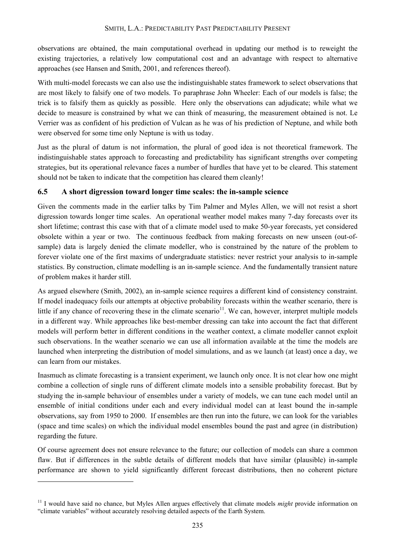observations are obtained, the main computational overhead in updating our method is to reweight the existing trajectories, a relatively low computational cost and an advantage with respect to alternative approaches (see Hansen and Smith, 2001, and references thereof).

With multi-model forecasts we can also use the indistinguishable states framework to select observations that are most likely to falsify one of two models. To paraphrase John Wheeler: Each of our models is false; the trick is to falsify them as quickly as possible. Here only the observations can adjudicate; while what we decide to measure is constrained by what we can think of measuring, the measurement obtained is not. Le Verrier was as confident of his prediction of Vulcan as he was of his prediction of Neptune, and while both were observed for some time only Neptune is with us today.

Just as the plural of datum is not information, the plural of good idea is not theoretical framework. The indistinguishable states approach to forecasting and predictability has significant strengths over competing strategies, but its operational relevance faces a number of hurdles that have yet to be cleared. This statement should not be taken to indicate that the competition has cleared them cleanly!

#### **6.5 A short digression toward longer time scales: the in-sample science**

Given the comments made in the earlier talks by Tim Palmer and Myles Allen, we will not resist a short digression towards longer time scales. An operational weather model makes many 7-day forecasts over its short lifetime; contrast this case with that of a climate model used to make 50-year forecasts, yet considered obsolete within a year or two. The continuous feedback from making forecasts on new unseen (out-ofsample) data is largely denied the climate modeller, who is constrained by the nature of the problem to forever violate one of the first maxims of undergraduate statistics: never restrict your analysis to in-sample statistics. By construction, climate modelling is an in-sample science. And the fundamentally transient nature of problem makes it harder still.

As argued elsewhere (Smith, 2002), an in-sample science requires a different kind of consistency constraint. If model inadequacy foils our attempts at objective probability forecasts within the weather scenario, there is little if any chance of recovering these in the climate scenario<sup>11</sup>. We can, however, interpret multiple models in a different way. While approaches like best-member dressing can take into account the fact that different models will perform better in different conditions in the weather context, a climate modeller cannot exploit such observations. In the weather scenario we can use all information available at the time the models are launched when interpreting the distribution of model simulations, and as we launch (at least) once a day, we can learn from our mistakes.

Inasmuch as climate forecasting is a transient experiment, we launch only once. It is not clear how one might combine a collection of single runs of different climate models into a sensible probability forecast. But by studying the in-sample behaviour of ensembles under a variety of models, we can tune each model until an ensemble of initial conditions under each and every individual model can at least bound the in-sample observations, say from 1950 to 2000. If ensembles are then run into the future, we can look for the variables (space and time scales) on which the individual model ensembles bound the past and agree (in distribution) regarding the future.

Of course agreement does not ensure relevance to the future; our collection of models can share a common flaw. But if differences in the subtle details of different models that have similar (plausible) in-sample performance are shown to yield significantly different forecast distributions, then no coherent picture

l

<span id="page-16-0"></span><sup>&</sup>lt;sup>11</sup> I would have said no chance, but Myles Allen argues effectively that climate models *might* provide information on "climate variables" without accurately resolving detailed aspects of the Earth System.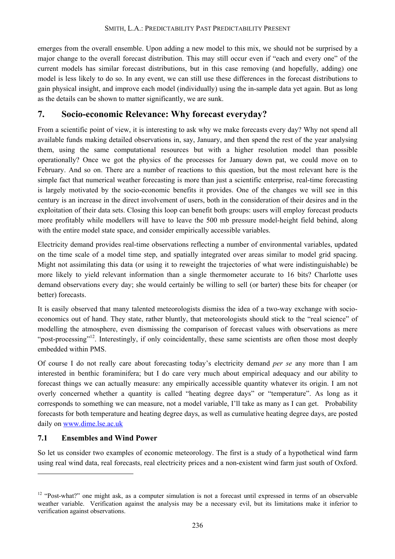emerges from the overall ensemble. Upon adding a new model to this mix, we should not be surprised by a major change to the overall forecast distribution. This may still occur even if "each and every one" of the current models has similar forecast distributions, but in this case removing (and hopefully, adding) one model is less likely to do so. In any event, we can still use these differences in the forecast distributions to gain physical insight, and improve each model (individually) using the in-sample data yet again. But as long as the details can be shown to matter significantly, we are sunk.

# **7. Socio-economic Relevance: Why forecast everyday?**

From a scientific point of view, it is interesting to ask why we make forecasts every day? Why not spend all available funds making detailed observations in, say, January, and then spend the rest of the year analysing them, using the same computational resources but with a higher resolution model than possible operationally? Once we got the physics of the processes for January down pat, we could move on to February. And so on. There are a number of reactions to this question, but the most relevant here is the simple fact that numerical weather forecasting is more than just a scientific enterprise, real-time forecasting is largely motivated by the socio-economic benefits it provides. One of the changes we will see in this century is an increase in the direct involvement of users, both in the consideration of their desires and in the exploitation of their data sets. Closing this loop can benefit both groups: users will employ forecast products more profitably while modellers will have to leave the 500 mb pressure model-height field behind, along with the entire model state space, and consider empirically accessible variables.

Electricity demand provides real-time observations reflecting a number of environmental variables, updated on the time scale of a model time step, and spatially integrated over areas similar to model grid spacing. Might not assimilating this data (or using it to reweight the trajectories of what were indistinguishable) be more likely to yield relevant information than a single thermometer accurate to 16 bits? Charlotte uses demand observations every day; she would certainly be willing to sell (or barter) these bits for cheaper (or better) forecasts.

It is easily observed that many talented meteorologists dismiss the idea of a two-way exchange with socioeconomics out of hand. They state, rather bluntly, that meteorologists should stick to the "real science" of modelling the atmosphere, even dismissing the comparison of forecast values with observations as mere "post-processing"<sup>12</sup>. Interestingly, if only coincidentally, these same scientists are often those most deeply embedded within PMS.

Of course I do not really care about forecasting today's electricity demand *per se* any more than I am interested in benthic foraminifera; but I do care very much about empirical adequacy and our ability to forecast things we can actually measure: any empirically accessible quantity whatever its origin. I am not overly concerned whether a quantity is called "heating degree days" or "temperature". As long as it corresponds to something we can measure, not a model variable, I'll take as many as I can get. Probability forecasts for both temperature and heating degree days, as well as cumulative heating degree days, are posted daily on [www.dime.lse.ac.uk](http://www.dime.lse.ac.uk/)

### **7.1 Ensembles and Wind Power**

 $\overline{a}$ 

So let us consider two examples of economic meteorology. The first is a study of a hypothetical wind farm using real wind data, real forecasts, real electricity prices and a non-existent wind farm just south of Oxford.

<span id="page-17-0"></span><sup>&</sup>lt;sup>12</sup> "Post-what?" one might ask, as a computer simulation is not a forecast until expressed in terms of an observable weather variable. Verification against the analysis may be a necessary evil, but its limitations make it inferior to verification against observations.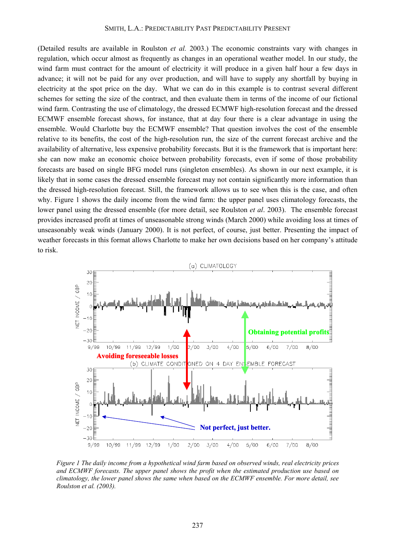(Detailed results are available in Roulston *et al.* 2003.) The economic constraints vary with changes in regulation, which occur almost as frequently as changes in an operational weather model. In our study, the wind farm must contract for the amount of electricity it will produce in a given half hour a few days in advance; it will not be paid for any over production, and will have to supply any shortfall by buying in electricity at the spot price on the day. What we can do in this example is to contrast several different schemes for setting the size of the contract, and then evaluate them in terms of the income of our fictional wind farm. Contrasting the use of climatology, the dressed ECMWF high-resolution forecast and the dressed ECMWF ensemble forecast shows, for instance, that at day four there is a clear advantage in using the ensemble. Would Charlotte buy the ECMWF ensemble? That question involves the cost of the ensemble relative to its benefits, the cost of the high-resolution run, the size of the current forecast archive and the availability of alternative, less expensive probability forecasts. But it is the framework that is important here: she can now make an economic choice between probability forecasts, even if some of those probability forecasts are based on single BFG model runs (singleton ensembles). As shown in our next example, it is likely that in some cases the dressed ensemble forecast may not contain significantly more information than the dressed high-resolution forecast. Still, the framework allows us to see when this is the case, and often why. Figure 1 shows the daily income from the wind farm: the upper panel uses climatology forecasts, the lower panel using the dressed ensemble (for more detail, see Roulston *et al*. 2003). The ensemble forecast provides increased profit at times of unseasonable strong winds (March 2000) while avoiding loss at times of unseasonably weak winds (January 2000). It is not perfect, of course, just better. Presenting the impact of weather forecasts in this format allows Charlotte to make her own decisions based on her company's attitude to risk.



*Figure 1 The daily income from a hypothetical wind farm based on observed winds, real electricity prices and ECMWF forecasts. The upper panel shows the profit when the estimated production use based on climatology, the lower panel shows the same when based on the ECMWF ensemble. For more detail, see Roulston et al. (2003).*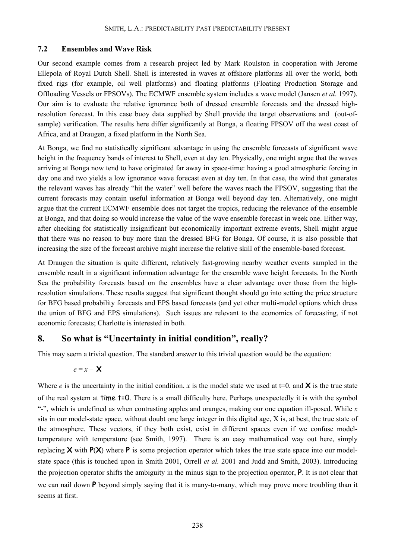#### **7.2 Ensembles and Wave Risk**

Our second example comes from a research project led by Mark Roulston in cooperation with Jerome Ellepola of Royal Dutch Shell. Shell is interested in waves at offshore platforms all over the world, both fixed rigs (for example, oil well platforms) and floating platforms (Floating Production Storage and Offloading Vessels or FPSOVs). The ECMWF ensemble system includes a wave model (Jansen *et al*. 1997). Our aim is to evaluate the relative ignorance both of dressed ensemble forecasts and the dressed highresolution forecast. In this case buoy data supplied by Shell provide the target observations and (out-ofsample) verification. The results here differ significantly at Bonga, a floating FPSOV off the west coast of Africa, and at Draugen, a fixed platform in the North Sea.

At Bonga, we find no statistically significant advantage in using the ensemble forecasts of significant wave height in the frequency bands of interest to Shell, even at day ten. Physically, one might argue that the waves arriving at Bonga now tend to have originated far away in space-time: having a good atmospheric forcing in day one and two yields a low ignorance wave forecast even at day ten. In that case, the wind that generates the relevant waves has already "hit the water" well before the waves reach the FPSOV, suggesting that the current forecasts may contain useful information at Bonga well beyond day ten. Alternatively, one might argue that the current ECMWF ensemble does not target the tropics, reducing the relevance of the ensemble at Bonga, and that doing so would increase the value of the wave ensemble forecast in week one. Either way, after checking for statistically insignificant but economically important extreme events, Shell might argue that there was no reason to buy more than the dressed BFG for Bonga. Of course, it is also possible that increasing the size of the forecast archive might increase the relative skill of the ensemble-based forecast.

At Draugen the situation is quite different, relatively fast-growing nearby weather events sampled in the ensemble result in a significant information advantage for the ensemble wave height forecasts. In the North Sea the probability forecasts based on the ensembles have a clear advantage over those from the highresolution simulations. These results suggest that significant thought should go into setting the price structure for BFG based probability forecasts and EPS based forecasts (and yet other multi-model options which dress the union of BFG and EPS simulations). Such issues are relevant to the economics of forecasting, if not economic forecasts; Charlotte is interested in both.

### **8. So what is "Uncertainty in initial condition", really?**

This may seem a trivial question. The standard answer to this trivial question would be the equation:

#### $e = x - \mathbf{X}$

Where *e* is the uncertainty in the initial condition, *x* is the model state we used at  $t=0$ , and **X** is the true state of the real system at time t=0. There is a small difficulty here. Perhaps unexpectedly it is with the symbol "-", which is undefined as when contrasting apples and oranges, making our one equation ill-posed. While *x* sits in our model-state space, without doubt one large integer in this digital age, X is, at best, the true state of the atmosphere. These vectors, if they both exist, exist in different spaces even if we confuse modeltemperature with temperature (see Smith, 1997). There is an easy mathematical way out here, simply replacing **X** with **P**(**X**) where **P** is some projection operator which takes the true state space into our modelstate space (this is touched upon in Smith 2001, Orrell *et al.* 2001 and Judd and Smith, 2003). Introducing the projection operator shifts the ambiguity in the minus sign to the projection operator, **P**. It is not clear that we can nail down **P** beyond simply saying that it is many-to-many, which may prove more troubling than it seems at first.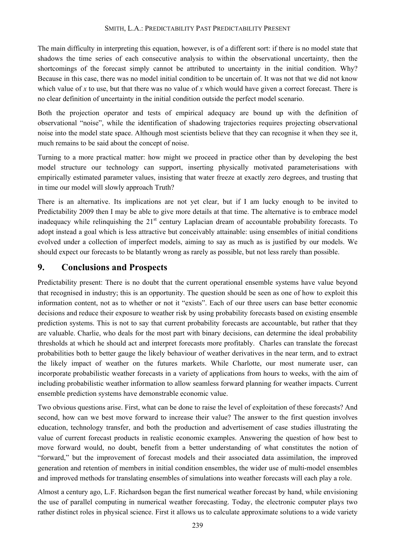The main difficulty in interpreting this equation, however, is of a different sort: if there is no model state that shadows the time series of each consecutive analysis to within the observational uncertainty, then the shortcomings of the forecast simply cannot be attributed to uncertainty in the initial condition. Why? Because in this case, there was no model initial condition to be uncertain of. It was not that we did not know which value of *x* to use, but that there was no value of *x* which would have given a correct forecast. There is no clear definition of uncertainty in the initial condition outside the perfect model scenario.

Both the projection operator and tests of empirical adequacy are bound up with the definition of observational "noise", while the identification of shadowing trajectories requires projecting observational noise into the model state space. Although most scientists believe that they can recognise it when they see it, much remains to be said about the concept of noise.

Turning to a more practical matter: how might we proceed in practice other than by developing the best model structure our technology can support, inserting physically motivated parameterisations with empirically estimated parameter values, insisting that water freeze at exactly zero degrees, and trusting that in time our model will slowly approach Truth?

There is an alternative. Its implications are not yet clear, but if I am lucky enough to be invited to Predictability 2009 then I may be able to give more details at that time. The alternative is to embrace model inadequacy while relinquishing the  $21<sup>st</sup>$  century Laplacian dream of accountable probability forecasts. To adopt instead a goal which is less attractive but conceivably attainable: using ensembles of initial conditions evolved under a collection of imperfect models, aiming to say as much as is justified by our models. We should expect our forecasts to be blatantly wrong as rarely as possible, but not less rarely than possible.

# **9. Conclusions and Prospects**

Predictability present: There is no doubt that the current operational ensemble systems have value beyond that recognised in industry; this is an opportunity. The question should be seen as one of how to exploit this information content, not as to whether or not it "exists". Each of our three users can base better economic decisions and reduce their exposure to weather risk by using probability forecasts based on existing ensemble prediction systems. This is not to say that current probability forecasts are accountable, but rather that they are valuable. Charlie, who deals for the most part with binary decisions, can determine the ideal probability thresholds at which he should act and interpret forecasts more profitably. Charles can translate the forecast probabilities both to better gauge the likely behaviour of weather derivatives in the near term, and to extract the likely impact of weather on the futures markets. While Charlotte, our most numerate user, can incorporate probabilistic weather forecasts in a variety of applications from hours to weeks, with the aim of including probabilistic weather information to allow seamless forward planning for weather impacts. Current ensemble prediction systems have demonstrable economic value.

Two obvious questions arise. First, what can be done to raise the level of exploitation of these forecasts? And second, how can we best move forward to increase their value? The answer to the first question involves education, technology transfer, and both the production and advertisement of case studies illustrating the value of current forecast products in realistic economic examples. Answering the question of how best to move forward would, no doubt, benefit from a better understanding of what constitutes the notion of "forward," but the improvement of forecast models and their associated data assimilation, the improved generation and retention of members in initial condition ensembles, the wider use of multi-model ensembles and improved methods for translating ensembles of simulations into weather forecasts will each play a role.

Almost a century ago, L.F. Richardson began the first numerical weather forecast by hand, while envisioning the use of parallel computing in numerical weather forecasting. Today, the electronic computer plays two rather distinct roles in physical science. First it allows us to calculate approximate solutions to a wide variety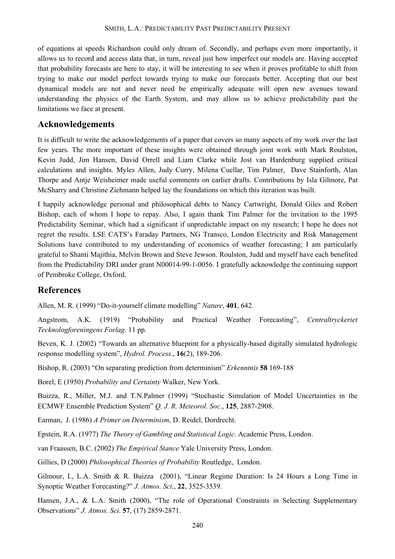of equations at speeds Richardson could only dream of. Secondly, and perhaps even more importantly, it allows us to record and access data that, in turn, reveal just how imperfect our models are. Having accepted that probability forecasts are here to stay, it will be interesting to see when it proves profitable to shift from trying to make our model perfect towards trying to make our forecasts better. Accepting that our best dynamical models are not and never need be empirically adequate will open new avenues toward understanding the physics of the Earth System, and may allow us to achieve predictability past the limitations we face at present.

### **Acknowledgements**

It is difficult to write the acknowledgements of a paper that covers so many aspects of my work over the last few years. The more important of these insights were obtained through joint work with Mark Roulston, Kevin Judd, Jim Hansen, David Orrell and Liam Clarke while Jost van Hardenburg supplied critical calculations and insights. Myles Allen, Judy Curry, Milena Cuellar, Tim Palmer, Dave Stainforth, Alan Thorpe and Antje Weisheimer made useful comments on earlier drafts. Contributions by Isla Gilmore, Pat McSharry and Christine Ziehmann helped lay the foundations on which this iteration was built.

I happily acknowledge personal and philosophical debts to Nancy Cartwright, Donald Giles and Robert Bishop, each of whom I hope to repay. Also, I again thank Tim Palmer for the invitation to the 1995 Predictability Seminar, which had a significant if unpredictable impact on my research; I hope he does not regret the results. LSE CATS's Faraday Partners, NG Transco, London Electricity and Risk Management Solutions have contributed to my understanding of economics of weather forecasting; I am particularly grateful to Shanti Majithia, Melvin Brown and Steve Jewson. Roulston, Judd and myself have each benefited from the Predictability DRI under grant N00014-99-1-0056. I gratefully acknowledge the continuing support of Pembroke College, Oxford.

## **References**

Allen, M. R. (1999) "Do-it-yourself climate modelling" *Nature*, **401**, 642.

Angstrom, A.K. (1919) "Probability and Practical Weather Forecasting", *Centraltryckeriet Tecknologforeningens Forlag*. 11 pp.

Beven, K. J. (2002) "Towards an alternative blueprint for a physically-based digitally simulated hydrologic response modelling system", *Hydrol. Process*., **16**(2), 189-206.

Bishop, R. (2003) "On separating prediction from determinism" *Erkenntnis* **58** 169-188

Borel, E (1950) *Probability and Certainty* Walker, New York.

Buizza, R., Miller, M.J. and T.N.Palmer (1999) "Stochastic Simulation of Model Uncertainties in the ECMWF Ensemble Prediction System" *Q. J. R. Meteorol. Soc*., **125**, 2887-2908.

Earman, J. (1986) *A Primer on Determinism*, D. Reidel, Dordrecht.

Epstein, R.A. (1977) *The Theory of Gambling and Statistical Logic*. Academic Press, London.

van Fraassen, B.C. (2002) *The Empirical Stance* Yale University Press, London.

Gillies, D (2000) *Philosophical Theories of Probability* Routledge, London.

Gilmour, I., L.A. Smith & R. Buizza (2001), "Linear Regime Duration: Is 24 Hours a Long Time in Synoptic Weather Forecasting?" *J. Atmos. Sci*., **22**, 3525-3539.

Hansen, J.A., & L.A. Smith (2000), "The role of Operational Constraints in Selecting Supplementary Observations" *J. Atmos. Sci*. **57**, (17) 2859-2871.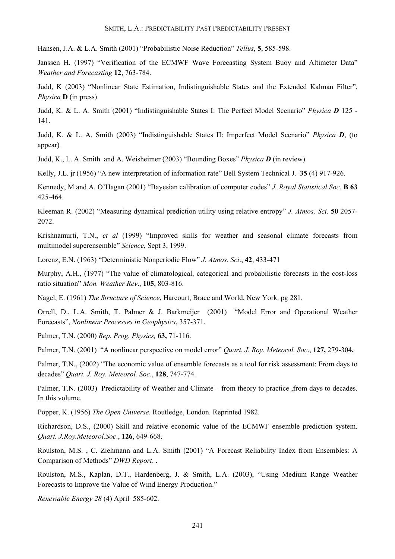Hansen, J.A. & L.A. Smith (2001) "Probabilistic Noise Reduction" *Tellus*, **5**, 585-598.

Janssen H. (1997) "Verification of the ECMWF Wave Forecasting System Buoy and Altimeter Data" *Weather and Forecasting* **12**, 763-784.

Judd, K (2003) "Nonlinear State Estimation, Indistinguishable States and the Extended Kalman Filter", *Physica* **D** (in press)

Judd, K. & L. A. Smith (2001) "Indistinguishable States I: The Perfect Model Scenario" *Physica D* 125 - 141.

Judd, K. & L. A. Smith (2003) "Indistinguishable States II: Imperfect Model Scenario" *Physica D*, (to appear)*.*

Judd, K., L. A. Smith and A. Weisheimer (2003) "Bounding Boxes" *Physica D* (in review).

Kelly, J.L. jr (1956) "A new interpretation of information rate" Bell System Technical J. **35** (4) 917-926.

Kennedy, M and A. O'Hagan (2001) "Bayesian calibration of computer codes" *J. Royal Statistical Soc.* **B 63** 425-464.

Kleeman R. (2002) "Measuring dynamical prediction utility using relative entropy" *J. Atmos. Sci.* **50** 2057- 2072.

Krishnamurti, T.N., *et al* (1999) "Improved skills for weather and seasonal climate forecasts from multimodel superensemble" *Science*, Sept 3, 1999.

Lorenz, E.N. (1963) "Deterministic Nonperiodic Flow" *J. Atmos. Sci*., **42**, 433-471

Murphy, A.H., (1977) "The value of climatological, categorical and probabilistic forecasts in the cost-loss ratio situation" *Mon. Weather Rev*., **105**, 803-816.

Nagel, E. (1961) *The Structure of Science*, Harcourt, Brace and World, New York. pg 281.

Orrell, D., L.A. Smith, T. Palmer & J. Barkmeijer (2001) "Model Error and Operational Weather Forecasts", *Nonlinear Processes in Geophysics*, 357-371.

Palmer, T.N. (2000) *Rep. Prog. Physics,* **63,** 71-116.

Palmer, T.N. (2001) "A nonlinear perspective on model error" *Quart. J. Roy. Meteorol. Soc*., **127,** 279-304**.**

Palmer, T.N., (2002) "The economic value of ensemble forecasts as a tool for risk assessment: From days to decades" *Quart. J. Roy. Meteorol. Soc*., **128**, 747-774.

Palmer, T.N. (2003) Predictability of Weather and Climate – from theory to practice ,from days to decades. In this volume.

Popper, K. (1956) *The Open Universe*. Routledge, London. Reprinted 1982.

Richardson, D.S., (2000) Skill and relative economic value of the ECMWF ensemble prediction system. *Quart. J.Roy.Meteorol.Soc*., **126**, 649-668.

Roulston, M.S. , C. Ziehmann and L.A. Smith (2001) "A Forecast Reliability Index from Ensembles: A Comparison of Methods" *DWD Report*. .

Roulston, M.S., Kaplan, D.T., Hardenberg, J. & Smith, L.A. (2003), "Using Medium Range Weather Forecasts to Improve the Value of Wind Energy Production."

*Renewable Energy 28* (4) April 585-602.